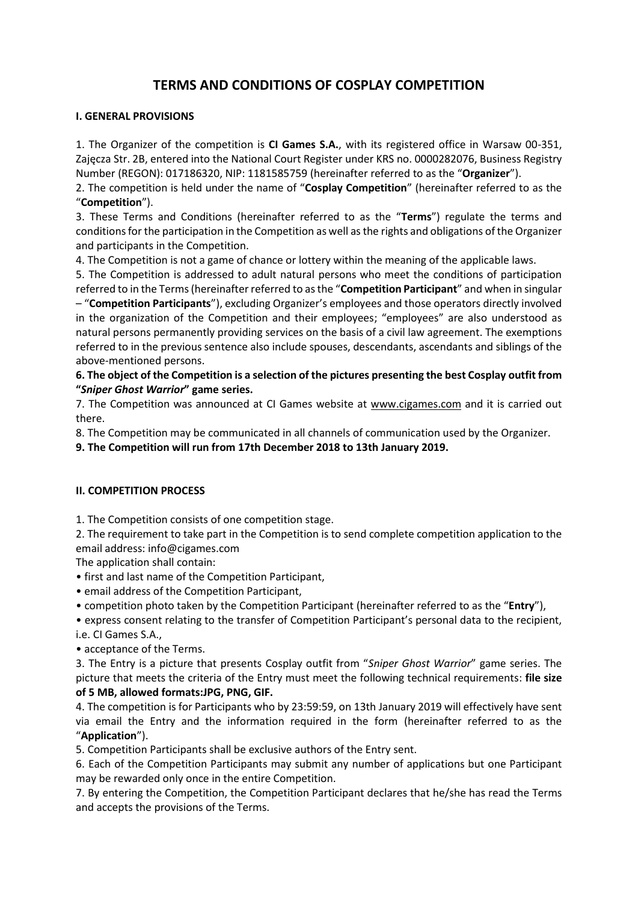# **TERMS AND CONDITIONS OF COSPLAY COMPETITION**

## **I. GENERAL PROVISIONS**

1. The Organizer of the competition is **CI Games S.A.**, with its registered office in Warsaw 00-351, Zajęcza Str. 2B, entered into the National Court Register under KRS no. 0000282076, Business Registry Number (REGON): 017186320, NIP: 1181585759 (hereinafter referred to as the "**Organizer**").

2. The competition is held under the name of "**Cosplay Competition**" (hereinafter referred to as the "**Competition**").

3. These Terms and Conditions (hereinafter referred to as the "**Terms**") regulate the terms and conditions for the participation in the Competition as well as the rights and obligations of the Organizer and participants in the Competition.

4. The Competition is not a game of chance or lottery within the meaning of the applicable laws.

5. The Competition is addressed to adult natural persons who meet the conditions of participation referred to in the Terms(hereinafter referred to as the "**Competition Participant**" and when in singular

– "**Competition Participants**"), excluding Organizer's employees and those operators directly involved in the organization of the Competition and their employees; "employees" are also understood as natural persons permanently providing services on the basis of a civil law agreement. The exemptions referred to in the previous sentence also include spouses, descendants, ascendants and siblings of the above-mentioned persons.

## **6. The object of the Competition is a selection of the pictures presenting the best Cosplay outfit from "***Sniper Ghost Warrior***" game series.**

7. The Competition was announced at CI Games website at [www.cigames.com](http://www.cigames.com/) and it is carried out there.

8. The Competition may be communicated in all channels of communication used by the Organizer.

**9. The Competition will run from 17th December 2018 to 13th January 2019.**

# **II. COMPETITION PROCESS**

1. The Competition consists of one competition stage.

2. The requirement to take part in the Competition is to send complete competition application to the email address: info@cigames.com

The application shall contain:

• first and last name of the Competition Participant,

• email address of the Competition Participant,

• competition photo taken by the Competition Participant (hereinafter referred to as the "**Entry**"),

• express consent relating to the transfer of Competition Participant's personal data to the recipient, i.e. CI Games S.A.,

• acceptance of the Terms.

3. The Entry is a picture that presents Cosplay outfit from "*Sniper Ghost Warrior*" game series. The picture that meets the criteria of the Entry must meet the following technical requirements: **file size of 5 MB, allowed formats:JPG, PNG, GIF.**

4. The competition is for Participants who by 23:59:59, on 13th January 2019 will effectively have sent via email the Entry and the information required in the form (hereinafter referred to as the "**Application**").

5. Competition Participants shall be exclusive authors of the Entry sent.

6. Each of the Competition Participants may submit any number of applications but one Participant may be rewarded only once in the entire Competition.

7. By entering the Competition, the Competition Participant declares that he/she has read the Terms and accepts the provisions of the Terms.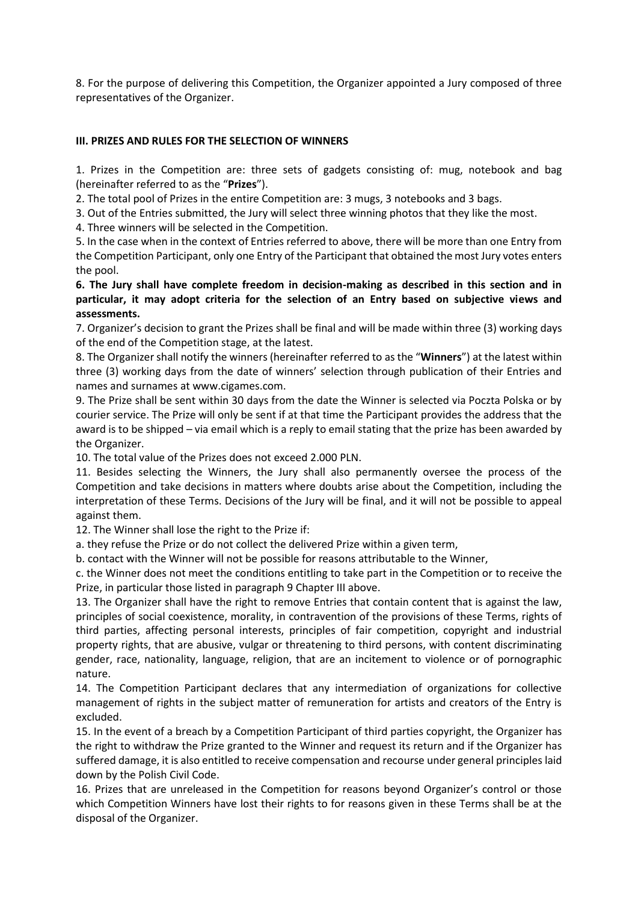8. For the purpose of delivering this Competition, the Organizer appointed a Jury composed of three representatives of the Organizer.

### **III. PRIZES AND RULES FOR THE SELECTION OF WINNERS**

1. Prizes in the Competition are: three sets of gadgets consisting of: mug, notebook and bag (hereinafter referred to as the "**Prizes**").

2. The total pool of Prizes in the entire Competition are: 3 mugs, 3 notebooks and 3 bags.

3. Out of the Entries submitted, the Jury will select three winning photos that they like the most.

4. Three winners will be selected in the Competition.

5. In the case when in the context of Entries referred to above, there will be more than one Entry from the Competition Participant, only one Entry of the Participant that obtained the most Jury votes enters the pool.

**6. The Jury shall have complete freedom in decision-making as described in this section and in particular, it may adopt criteria for the selection of an Entry based on subjective views and assessments.**

7. Organizer's decision to grant the Prizes shall be final and will be made within three (3) working days of the end of the Competition stage, at the latest.

8. The Organizer shall notify the winners (hereinafter referred to as the "**Winners**") at the latest within three (3) working days from the date of winners' selection through publication of their Entries and names and surnames at www.cigames.com.

9. The Prize shall be sent within 30 days from the date the Winner is selected via Poczta Polska or by courier service. The Prize will only be sent if at that time the Participant provides the address that the award is to be shipped – via email which is a reply to email stating that the prize has been awarded by the Organizer.

10. The total value of the Prizes does not exceed 2.000 PLN.

11. Besides selecting the Winners, the Jury shall also permanently oversee the process of the Competition and take decisions in matters where doubts arise about the Competition, including the interpretation of these Terms. Decisions of the Jury will be final, and it will not be possible to appeal against them.

12. The Winner shall lose the right to the Prize if:

a. they refuse the Prize or do not collect the delivered Prize within a given term,

b. contact with the Winner will not be possible for reasons attributable to the Winner,

c. the Winner does not meet the conditions entitling to take part in the Competition or to receive the Prize, in particular those listed in paragraph 9 Chapter III above.

13. The Organizer shall have the right to remove Entries that contain content that is against the law, principles of social coexistence, morality, in contravention of the provisions of these Terms, rights of third parties, affecting personal interests, principles of fair competition, copyright and industrial property rights, that are abusive, vulgar or threatening to third persons, with content discriminating gender, race, nationality, language, religion, that are an incitement to violence or of pornographic nature.

14. The Competition Participant declares that any intermediation of organizations for collective management of rights in the subject matter of remuneration for artists and creators of the Entry is excluded.

15. In the event of a breach by a Competition Participant of third parties copyright, the Organizer has the right to withdraw the Prize granted to the Winner and request its return and if the Organizer has suffered damage, it is also entitled to receive compensation and recourse under general principles laid down by the Polish Civil Code.

16. Prizes that are unreleased in the Competition for reasons beyond Organizer's control or those which Competition Winners have lost their rights to for reasons given in these Terms shall be at the disposal of the Organizer.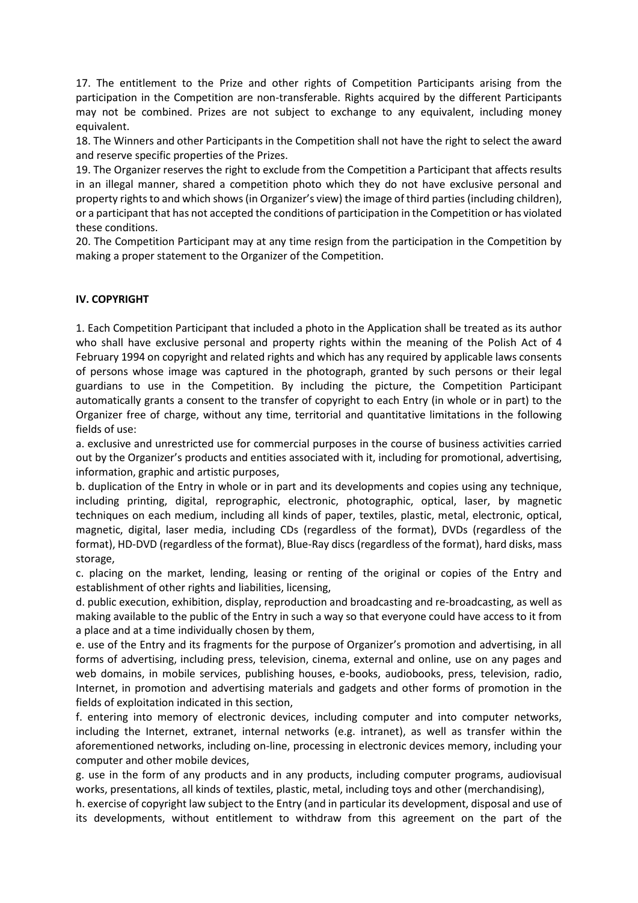17. The entitlement to the Prize and other rights of Competition Participants arising from the participation in the Competition are non-transferable. Rights acquired by the different Participants may not be combined. Prizes are not subject to exchange to any equivalent, including money equivalent.

18. The Winners and other Participants in the Competition shall not have the right to select the award and reserve specific properties of the Prizes.

19. The Organizer reserves the right to exclude from the Competition a Participant that affects results in an illegal manner, shared a competition photo which they do not have exclusive personal and property rights to and which shows (in Organizer's view) the image of third parties (including children), or a participant that has not accepted the conditions of participation in the Competition or has violated these conditions.

20. The Competition Participant may at any time resign from the participation in the Competition by making a proper statement to the Organizer of the Competition.

## **IV. COPYRIGHT**

1. Each Competition Participant that included a photo in the Application shall be treated as its author who shall have exclusive personal and property rights within the meaning of the Polish Act of 4 February 1994 on copyright and related rights and which has any required by applicable laws consents of persons whose image was captured in the photograph, granted by such persons or their legal guardians to use in the Competition. By including the picture, the Competition Participant automatically grants a consent to the transfer of copyright to each Entry (in whole or in part) to the Organizer free of charge, without any time, territorial and quantitative limitations in the following fields of use:

a. exclusive and unrestricted use for commercial purposes in the course of business activities carried out by the Organizer's products and entities associated with it, including for promotional, advertising, information, graphic and artistic purposes,

b. duplication of the Entry in whole or in part and its developments and copies using any technique, including printing, digital, reprographic, electronic, photographic, optical, laser, by magnetic techniques on each medium, including all kinds of paper, textiles, plastic, metal, electronic, optical, magnetic, digital, laser media, including CDs (regardless of the format), DVDs (regardless of the format), HD-DVD (regardless of the format), Blue-Ray discs (regardless of the format), hard disks, mass storage,

c. placing on the market, lending, leasing or renting of the original or copies of the Entry and establishment of other rights and liabilities, licensing,

d. public execution, exhibition, display, reproduction and broadcasting and re-broadcasting, as well as making available to the public of the Entry in such a way so that everyone could have access to it from a place and at a time individually chosen by them,

e. use of the Entry and its fragments for the purpose of Organizer's promotion and advertising, in all forms of advertising, including press, television, cinema, external and online, use on any pages and web domains, in mobile services, publishing houses, e-books, audiobooks, press, television, radio, Internet, in promotion and advertising materials and gadgets and other forms of promotion in the fields of exploitation indicated in this section,

f. entering into memory of electronic devices, including computer and into computer networks, including the Internet, extranet, internal networks (e.g. intranet), as well as transfer within the aforementioned networks, including on-line, processing in electronic devices memory, including your computer and other mobile devices,

g. use in the form of any products and in any products, including computer programs, audiovisual works, presentations, all kinds of textiles, plastic, metal, including toys and other (merchandising),

h. exercise of copyright law subject to the Entry (and in particular its development, disposal and use of its developments, without entitlement to withdraw from this agreement on the part of the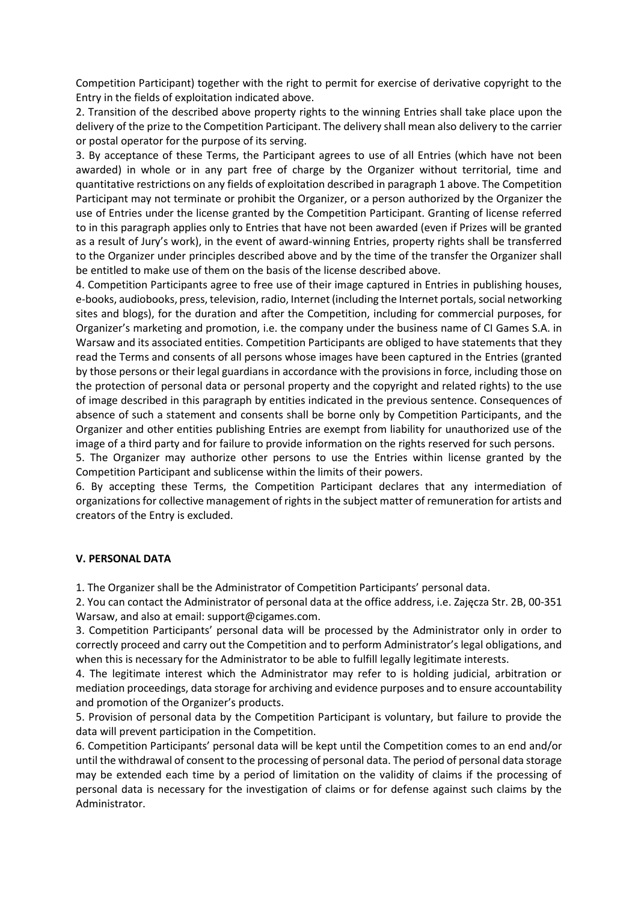Competition Participant) together with the right to permit for exercise of derivative copyright to the Entry in the fields of exploitation indicated above.

2. Transition of the described above property rights to the winning Entries shall take place upon the delivery of the prize to the Competition Participant. The delivery shall mean also delivery to the carrier or postal operator for the purpose of its serving.

3. By acceptance of these Terms, the Participant agrees to use of all Entries (which have not been awarded) in whole or in any part free of charge by the Organizer without territorial, time and quantitative restrictions on any fields of exploitation described in paragraph 1 above. The Competition Participant may not terminate or prohibit the Organizer, or a person authorized by the Organizer the use of Entries under the license granted by the Competition Participant. Granting of license referred to in this paragraph applies only to Entries that have not been awarded (even if Prizes will be granted as a result of Jury's work), in the event of award-winning Entries, property rights shall be transferred to the Organizer under principles described above and by the time of the transfer the Organizer shall be entitled to make use of them on the basis of the license described above.

4. Competition Participants agree to free use of their image captured in Entries in publishing houses, e-books, audiobooks, press, television, radio, Internet (including the Internet portals, social networking sites and blogs), for the duration and after the Competition, including for commercial purposes, for Organizer's marketing and promotion, i.e. the company under the business name of CI Games S.A. in Warsaw and its associated entities. Competition Participants are obliged to have statements that they read the Terms and consents of all persons whose images have been captured in the Entries (granted by those persons or their legal guardians in accordance with the provisions in force, including those on the protection of personal data or personal property and the copyright and related rights) to the use of image described in this paragraph by entities indicated in the previous sentence. Consequences of absence of such a statement and consents shall be borne only by Competition Participants, and the Organizer and other entities publishing Entries are exempt from liability for unauthorized use of the image of a third party and for failure to provide information on the rights reserved for such persons.

5. The Organizer may authorize other persons to use the Entries within license granted by the Competition Participant and sublicense within the limits of their powers.

6. By accepting these Terms, the Competition Participant declares that any intermediation of organizations for collective management of rights in the subject matter of remuneration for artists and creators of the Entry is excluded.

#### **V. PERSONAL DATA**

1. The Organizer shall be the Administrator of Competition Participants' personal data.

2. You can contact the Administrator of personal data at the office address, i.e. Zajęcza Str. 2B, 00-351 Warsaw, and also at email: support@cigames.com.

3. Competition Participants' personal data will be processed by the Administrator only in order to correctly proceed and carry out the Competition and to perform Administrator's legal obligations, and when this is necessary for the Administrator to be able to fulfill legally legitimate interests.

4. The legitimate interest which the Administrator may refer to is holding judicial, arbitration or mediation proceedings, data storage for archiving and evidence purposes and to ensure accountability and promotion of the Organizer's products.

5. Provision of personal data by the Competition Participant is voluntary, but failure to provide the data will prevent participation in the Competition.

6. Competition Participants' personal data will be kept until the Competition comes to an end and/or until the withdrawal of consent to the processing of personal data. The period of personal data storage may be extended each time by a period of limitation on the validity of claims if the processing of personal data is necessary for the investigation of claims or for defense against such claims by the Administrator.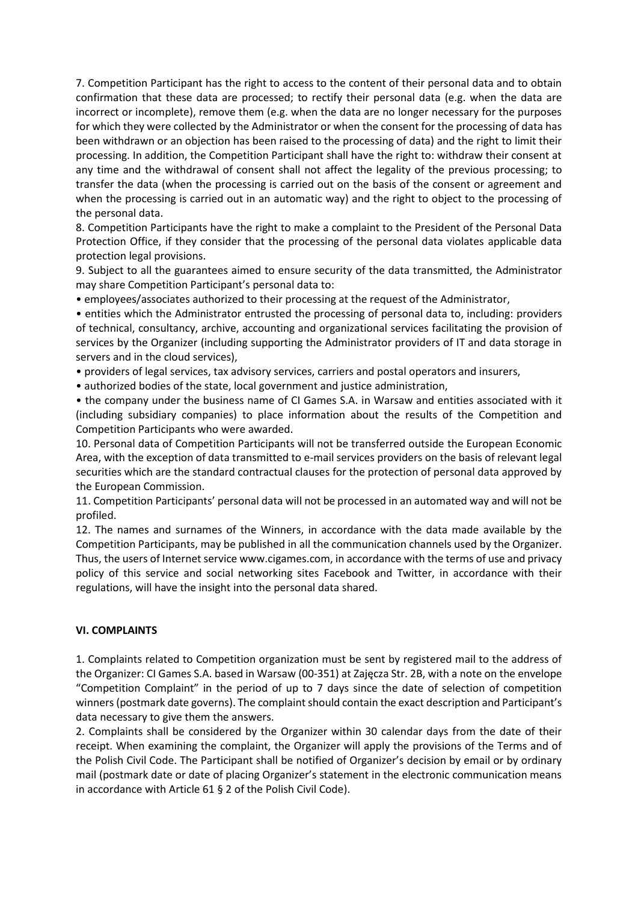7. Competition Participant has the right to access to the content of their personal data and to obtain confirmation that these data are processed; to rectify their personal data (e.g. when the data are incorrect or incomplete), remove them (e.g. when the data are no longer necessary for the purposes for which they were collected by the Administrator or when the consent for the processing of data has been withdrawn or an objection has been raised to the processing of data) and the right to limit their processing. In addition, the Competition Participant shall have the right to: withdraw their consent at any time and the withdrawal of consent shall not affect the legality of the previous processing; to transfer the data (when the processing is carried out on the basis of the consent or agreement and when the processing is carried out in an automatic way) and the right to object to the processing of the personal data.

8. Competition Participants have the right to make a complaint to the President of the Personal Data Protection Office, if they consider that the processing of the personal data violates applicable data protection legal provisions.

9. Subject to all the guarantees aimed to ensure security of the data transmitted, the Administrator may share Competition Participant's personal data to:

• employees/associates authorized to their processing at the request of the Administrator,

• entities which the Administrator entrusted the processing of personal data to, including: providers of technical, consultancy, archive, accounting and organizational services facilitating the provision of services by the Organizer (including supporting the Administrator providers of IT and data storage in servers and in the cloud services),

• providers of legal services, tax advisory services, carriers and postal operators and insurers,

• authorized bodies of the state, local government and justice administration,

• the company under the business name of CI Games S.A. in Warsaw and entities associated with it (including subsidiary companies) to place information about the results of the Competition and Competition Participants who were awarded.

10. Personal data of Competition Participants will not be transferred outside the European Economic Area, with the exception of data transmitted to e-mail services providers on the basis of relevant legal securities which are the standard contractual clauses for the protection of personal data approved by the European Commission.

11. Competition Participants' personal data will not be processed in an automated way and will not be profiled.

12. The names and surnames of the Winners, in accordance with the data made available by the Competition Participants, may be published in all the communication channels used by the Organizer. Thus, the users of Internet service www.cigames.com, in accordance with the terms of use and privacy policy of this service and social networking sites Facebook and Twitter, in accordance with their regulations, will have the insight into the personal data shared.

#### **VI. COMPLAINTS**

1. Complaints related to Competition organization must be sent by registered mail to the address of the Organizer: CI Games S.A. based in Warsaw (00-351) at Zajęcza Str. 2B, with a note on the envelope "Competition Complaint" in the period of up to 7 days since the date of selection of competition winners (postmark date governs). The complaint should contain the exact description and Participant's data necessary to give them the answers.

2. Complaints shall be considered by the Organizer within 30 calendar days from the date of their receipt. When examining the complaint, the Organizer will apply the provisions of the Terms and of the Polish Civil Code. The Participant shall be notified of Organizer's decision by email or by ordinary mail (postmark date or date of placing Organizer's statement in the electronic communication means in accordance with Article 61 § 2 of the Polish Civil Code).